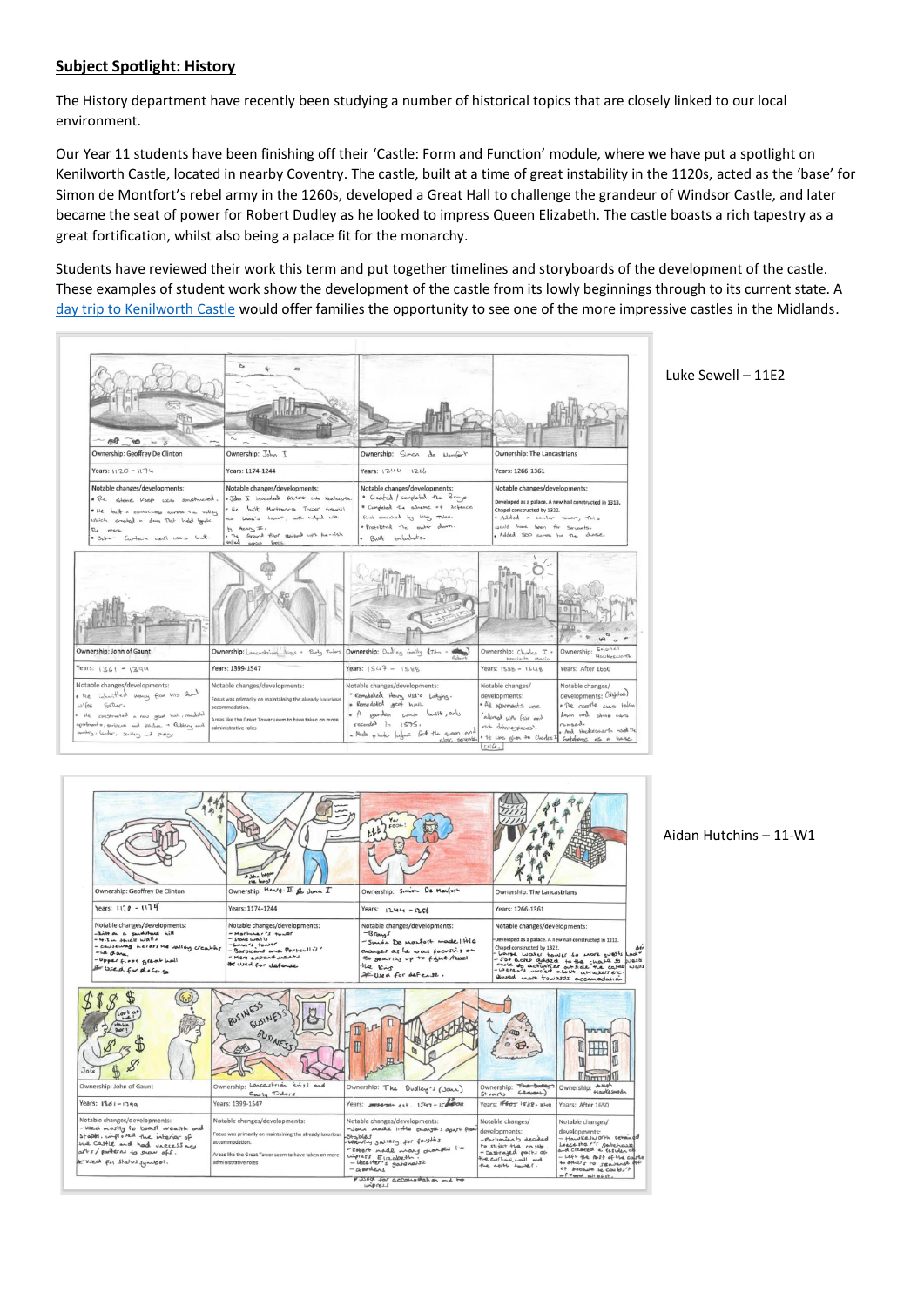## **Subject Spotlight: History**

The History department have recently been studying a number of historical topics that are closely linked to our local environment.

Our Year 11 students have been finishing off their 'Castle: Form and Function' module, where we have put a spotlight on Kenilworth Castle, located in nearby Coventry. The castle, built at a time of great instability in the 1120s, acted as the 'base' for Simon de Montfort's rebel army in the 1260s, developed a Great Hall to challenge the grandeur of Windsor Castle, and later became the seat of power for Robert Dudley as he looked to impress Queen Elizabeth. The castle boasts a rich tapestry as a great fortification, whilst also being a palace fit for the monarchy.

Students have reviewed their work this term and put together timelines and storyboards of the development of the castle. These examples of student work show the development of the castle from its lowly beginnings through to its current state. A [day trip to Kenilworth Castle](https://www.english-heritage.org.uk/visit/places/kenilworth-castle/) would offer families the opportunity to see one of the more impressive castles in the Midlands.



Luke Sewell – 11E2

|                                                                                                                                                                                                    | John Dag                                                                                                                                                                                                                                                                                                                                                 | 001<br>ししし                                                                                                                                                                                                                                        |                                                                                                                                                                                                                                                                                                                                                                                                                 |                                                                                                                                                                                                   |
|----------------------------------------------------------------------------------------------------------------------------------------------------------------------------------------------------|----------------------------------------------------------------------------------------------------------------------------------------------------------------------------------------------------------------------------------------------------------------------------------------------------------------------------------------------------------|---------------------------------------------------------------------------------------------------------------------------------------------------------------------------------------------------------------------------------------------------|-----------------------------------------------------------------------------------------------------------------------------------------------------------------------------------------------------------------------------------------------------------------------------------------------------------------------------------------------------------------------------------------------------------------|---------------------------------------------------------------------------------------------------------------------------------------------------------------------------------------------------|
| Ownership: Geoffrey De Clinton                                                                                                                                                                     | Ownership: Mens : II & John I                                                                                                                                                                                                                                                                                                                            | Ownership: Sinion De Monfort                                                                                                                                                                                                                      | Ownership: The Lancastrians                                                                                                                                                                                                                                                                                                                                                                                     |                                                                                                                                                                                                   |
| Years: 1120 - 1174                                                                                                                                                                                 | Years: 1174-1244                                                                                                                                                                                                                                                                                                                                         | Years: 1244 - 1266                                                                                                                                                                                                                                | Years: 1266-1361                                                                                                                                                                                                                                                                                                                                                                                                |                                                                                                                                                                                                   |
| Notable changes/developments:<br>-Britt on a sandstone hill<br>$-4.3$ in such walls<br>- CONSEWAY A GIFTS HE UNITED Creating<br>the day.<br>-Upper floor great hall<br>& Used for defense          | Notable changes/developments:<br>Notable changes/developments:<br>- Martiner's tower<br>$-$ Brays<br>$-$ stone walls<br>- Sincon De monfort made little<br>-Lung's tower<br>- Barbicans and Portcullis<br>awayer as he was focusing on<br>- Mere expand went<br>the searing up to fight / revel<br>* Used for defense<br>the king<br>= Used for defense. |                                                                                                                                                                                                                                                   | Notable changes/developments:<br>Developed as a palace. A new hall constructed in 1313.<br>Chapel constructed by 1322.<br>$\Delta\omega$<br>- were worked about a that the case of the work of the case of the case of the case of the case of the case of the case of the case of the case of the case of the case of the case of the case of the case of the case of the<br>Housed more founded accomposition |                                                                                                                                                                                                   |
| 00 <sup>1</sup><br>JoG                                                                                                                                                                             | BUSINESS<br>BUSINE.<br>BUSINESS                                                                                                                                                                                                                                                                                                                          | H                                                                                                                                                                                                                                                 |                                                                                                                                                                                                                                                                                                                                                                                                                 | mmm                                                                                                                                                                                               |
| Ownership: John of Gaunt                                                                                                                                                                           | Ownership: Lancastrian kings and<br>Early Tudors                                                                                                                                                                                                                                                                                                         | Ownership: The<br>Dudley's (John)                                                                                                                                                                                                                 | Ownership: The bulley's<br>$f$ Coloer<br>$S+varFs$                                                                                                                                                                                                                                                                                                                                                              | obseph<br>Ownership:<br>Haukesworth                                                                                                                                                               |
| Years: 1361-1399                                                                                                                                                                                   | Years: 1399-1547                                                                                                                                                                                                                                                                                                                                         | Years: 1994-71- est. 1547-15 1000                                                                                                                                                                                                                 | Years: 15605 1588- K49                                                                                                                                                                                                                                                                                                                                                                                          | Years: After 1650                                                                                                                                                                                 |
| Notable changes/developments:<br>-wed mostly to boast wealth and<br>stables, improved the interior of<br>the castle and had unecessary<br>arts/parterns to show off.<br>to vied for status jumpel. | Notable changes/developments:<br>Focus was primarily on maintaining the already luxurious<br>accommodation.<br>Areas like the Great Tower seem to have taken on more<br>administrative roles                                                                                                                                                             | Notable changes/developments:<br>-Jour made little changes agast from<br>Stables<br>Looking sallery for foughts<br>-Robert made many avantes to<br>winders Elizabeth.<br>- Lecetter's gatanouse<br>- Geordens<br># 3580 for accommandation and to | Notable changes/<br>developments:<br>- Parliarian to decided<br>to shight the castle.<br>- Destrayed parts of<br>the curtant wall and<br>the aprile towel.                                                                                                                                                                                                                                                      | Notable changes/<br>developments:<br>- Hawkesworth retained<br>Leeceste "I sabehave<br>- Left the rost of the califle<br>to others to seavenue off<br>of because be couldn't<br>4 Jo 110 logo 7-4 |

Aidan Hutchins – 11-W1